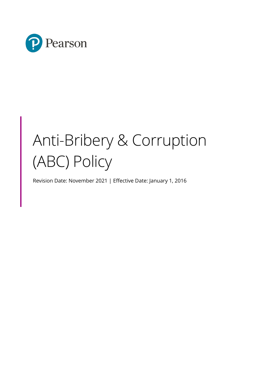

# Anti-Bribery & Corruption (ABC) Policy

Revision Date: November 2021 | Effective Date: January 1, 2016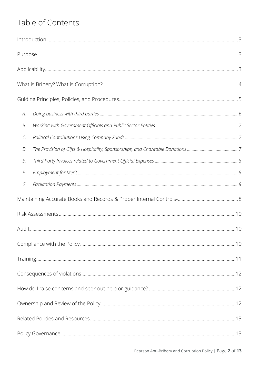# Table of Contents

| А.     |     |
|--------|-----|
| В.     |     |
| C.     |     |
| D.     |     |
| E.     |     |
| F.     |     |
| G.     |     |
|        |     |
|        |     |
| Audit. | .10 |
|        |     |
|        |     |
|        |     |
|        |     |
|        |     |
|        |     |
|        |     |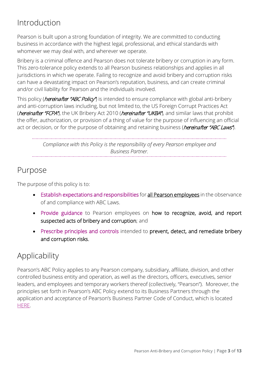# <span id="page-2-0"></span>Introduction

Pearson is built upon a strong foundation of integrity. We are committed to conducting business in accordance with the highest legal, professional, and ethical standards with whomever we may deal with, and wherever we operate.

Bribery is a criminal offence and Pearson does not tolerate bribery or corruption in any form. This zero-tolerance policy extends to all Pearson business relationships and applies in all jurisdictions in which we operate. Failing to recognize and avoid bribery and corruption risks can have a devastating impact on Pearson's reputation, business, and can create criminal and/or civil liability for Pearson and the individuals involved.

This policy (*hereinafter "ABC Policy"*) is intended to ensure compliance with global anti-bribery and anti-corruption laws including, but not limited to, the US Foreign Corrupt Practices Act (hereinafter "FCPA"), the UK Bribery Act 2010 (hereinafter "UKBA"), and similar laws that prohibit the offer, authorization, or provision of a thing of value for the purpose of influencing an official act or decision, or for the purpose of obtaining and retaining business (*hereinafter "ABC Laws"*).

> *Compliance with this Policy is the responsibility of every Pearson employee and Business Partner.*

### <span id="page-2-1"></span>Purpose

The purpose of this policy is to:

- Establish expectations and responsibilities for all Pearson employees in the observance of and compliance with ABC Laws.
- Provide guidance to Pearson employees on how to recognize, avoid, and report suspected acts of bribery and corruption; and
- Prescribe principles and controls intended to prevent, detect, and remediate bribery and corruption risks.

# <span id="page-2-2"></span>Applicability

Pearson's ABC Policy applies to any Pearson company, subsidiary, affiliate, division, and other controlled business entity and operation, as well as the directors, officers, executives, senior leaders, and employees and temporary workers thereof (collectively, "Pearson"). Moreover, the principles set forth in Pearson's ABC Policy extend to its Business Partners through the application and acceptance of Pearson's Business Partner Code of Conduct, which is located [HERE.](https://neo.pearson.com/docs/DOC-587836)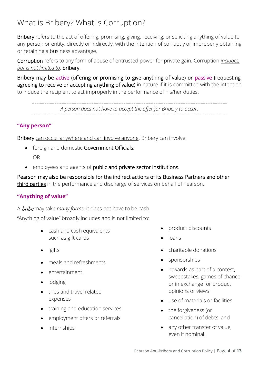# <span id="page-3-0"></span>What is Bribery? What is Corruption?

Bribery refers to the act of offering, promising, giving, receiving, or soliciting anything of value to any person or entity, directly or indirectly, with the intention of corruptly or improperly obtaining or retaining a business advantage.

Corruption refers to any form of abuse of entrusted power for private gain. Corruption *includes, but is not limited to*, bribery.

Bribery may be active (offering or promising to give anything of value) or passive (requesting, agreeing to receive or accepting anything of value) in nature if it is committed with the intention to induce the recipient to act improperly in the performance of his/her duties.

*A person does not have to accept the offer for Bribery to occur.*

#### **"Any person"**

Bribery can occur anywhere and can involve anyone. Bribery can involve:

- foreign and domestic Government Officials; OR
- employees and agents of public and private sector institutions.

Pearson may also be responsible for the indirect actions of its Business Partners and other third parties in the performance and discharge of services on behalf of Pearson.

#### **"Anything of value"**

A bribe may take *many forms*; it does not have to be cash.

"Anything of value" broadly includes and is not limited to:

- cash and cash equivalents such as gift cards
- gifts
- meals and refreshments
- entertainment
- lodging
- trips and travel related expenses
- training and education services
- employment offers or referrals
- internships
- product discounts
- loans
- charitable donations
- sponsorships
- rewards as part of a contest, sweepstakes, games of chance or in exchange for product opinions or views
- use of materials or facilities
- the forgiveness (or cancellation) of debts, and
- any other transfer of value, even if nominal.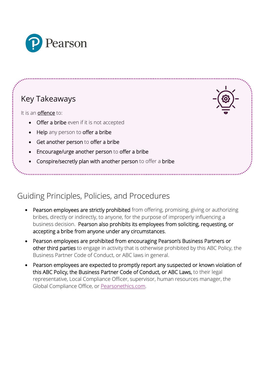

# Key Takeaways

It is an offence to:

- **Offer a bribe** even if it is not accepted
- **Help** any person to **offer a bribe**
- Get another person to offer a bribe
- Encourage/urge another person to offer a bribe
- Conspire/secretly plan with another person to offer a bribe

# <span id="page-4-0"></span>Guiding Principles, Policies, and Procedures

- Pearson employees are strictly prohibited from offering, promising, giving or authorizing bribes, directly or indirectly, to anyone, for the purpose of improperly influencing a business decision. Pearson also prohibits its employees from soliciting, requesting, or accepting a bribe from anyone under any circumstances.
- Pearson employees are prohibited from encouraging Pearson's Business Partners or other third parties to engage in activity that is otherwise prohibited by this ABC Policy, the Business Partner Code of Conduct, or ABC laws in general.
- Pearson employees are expected to promptly report any suspected or known violation of this ABC Policy, the Business Partner Code of Conduct, or ABC Laws, to their legal representative, Local Compliance Officer, supervisor, human resources manager, the Global Compliance Office, or [Pearsonethics.com.](http://www.pearsonethics.com/)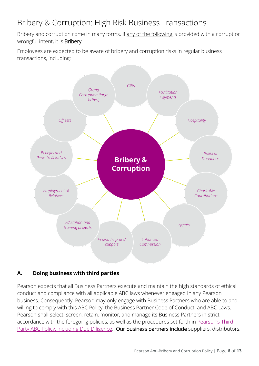# Bribery & Corruption: High Risk Business Transactions

Bribery and corruption come in many forms. If any of the following is provided with a corrupt or wrongful intent, it is Bribery.

Employees are expected to be aware of bribery and corruption risks in regular business transactions, including:



#### <span id="page-5-0"></span>**A. Doing business with third parties**

Pearson expects that all Business Partners execute and maintain the high standards of ethical conduct and compliance with all applicable ABC laws whenever engaged in any Pearson business. Consequently, Pearson may only engage with Business Partners who are able to and willing to comply with this ABC Policy, the Business Partner Code of Conduct, and ABC Laws. Pearson shall select, screen, retain, monitor, and manage its Business Partners in strict accordance with the foregoing policies, as well as the procedures set forth in [Pearson's Third-](https://neo.pearson.com/docs/DOC-722679)[Party ABC Policy, including Due Diligence.](https://neo.pearson.com/docs/DOC-722679) Our business partners include suppliers, distributors,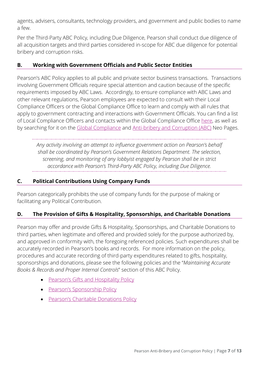agents, advisers, consultants, technology providers, and government and public bodies to name a few.

Per the Third-Party ABC Policy, including Due Diligence, Pearson shall conduct due diligence of all acquisition targets and third parties considered in-scope for ABC due diligence for potential bribery and corruption risks.

#### <span id="page-6-0"></span>**B. Working with Government Officials and Public Sector Entities**

Pearson's ABC Policy applies to all public and private sector business transactions. Transactions involving Government Officials require special attention and caution because of the specific requirements imposed by ABC Laws. Accordingly, to ensure compliance with ABC Laws and other relevant regulations, Pearson employees are expected to consult with their Local Compliance Officers or the Global Compliance Office to learn and comply with all rules that apply to government contracting and interactions with Government Officials. You can find a list of Local Compliance Officers and contacts within the Global Compliance Office [here,](https://neo.pearson.com/docs/DOC-597565) as well as by searching for it on the [Global Compliance](https://neo.pearson.com/groups/global-compliance-group) and [Anti-bribery and Corruption \(ABC\)](https://neo.pearson.com/groups/anti-bribery-and-corruption-abc) Neo Pages.

*Any activity involving an attempt to influence government action on Pearson's behalf shall be coordinated by Pearson's Government Relations Department. The selection, screening, and monitoring of any lobbyist engaged by Pearson shall be in strict accordance with Pearson's Third-Party ABC Policy, including Due Diligence.* 

#### <span id="page-6-1"></span>**C. Political Contributions Using Company Funds**

Pearson categorically prohibits the use of company funds for the purpose of making or facilitating any Political Contribution.

#### <span id="page-6-2"></span>**D. The Provision of Gifts & Hospitality, Sponsorships, and Charitable Donations**

Pearson may offer and provide Gifts & Hospitality, Sponsorships, and Charitable Donations to third parties, when legitimate and offered and provided solely for the purpose authorized by, and approved in conformity with, the foregoing referenced policies. Such expenditures shall be accurately recorded in Pearson's books and records. For more information on the policy, procedures and accurate recording of third-party expenditures related to gifts, hospitality, sponsorships and donations, please see the following policies and the "*Maintaining Accurate Books & Records and Proper Internal Controls*" section of this ABC Policy.

- [Pearson's Gifts and Hospitality Policy](https://neo.pearson.com/docs/DOC-597563)
- [Pearson's Sponsorship Policy](https://neo.pearson.com/docs/DOC-599246)
- **[Pearson's Charitable Donations Policy](https://neo.pearson.com/docs/DOC-602123)**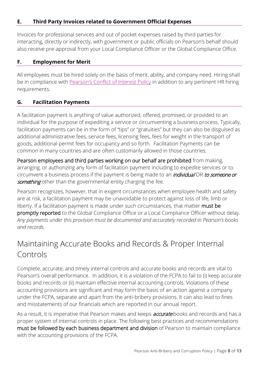#### <span id="page-7-0"></span>**E. Third Party Invoices related to Government Official Expenses**

Invoices for professional services and out of pocket expenses raised by third parties for interacting, directly or indirectly, with government or public officials on Pearson's behalf should also receive pre-approval from your Local Compliance Officer or the Global Compliance Office.

#### <span id="page-7-1"></span>**F. Employment for Merit**

All employees must be hired solely on the basis of merit, ability, and company need. Hiring shall be in compliance with [Pearson's Conflict of Interest Policy](https://neo.pearson.com/docs/DOC-722674) in addition to any pertinent HR hiring requirements.

#### <span id="page-7-2"></span>**G. Facilitation Payments**

A facilitation payment is anything of value authorized, offered, promised, or provided to an individual for the purpose of expediting a service or circumventing a business process. Typically, facilitation payments can be in the form of "tips" or "gratuities" but they can also be disguised as additional administrative fees, service fees, licensing fees, fees for weight in the transport of goods, additional permit fees for occupancy and so forth. Facilitation Payments can be common in many countries and are often customarily allowed in those countries.

Pearson employees and third parties working on our behalf are prohibited from making, arranging, or authorizing any form of facilitation payment including to expedite services or to circumvent a business process if the payment is being made to an *individual* OR to someone or something other than the governmental entity charging the fee.

Pearson recognizes, however, that in exigent circumstances when employee health and safety are at risk, a facilitation payment may be unavoidable to protect against loss of life, limb or liberty. If a facilitation payment is made under such circumstances, that matter must be promptly reported to the Global Compliance Office or a Local Compliance Officer without delay. *Any payments under this provision must be documented and accurately recorded in Pearson's books and records.*

# <span id="page-7-3"></span>Maintaining Accurate Books and Records & Proper Internal Controls

Complete, accurate, and timely internal controls and accurate books and records are vital to Pearson's overall performance. In addition, it is a violation of the FCPA to fail to (i) keep accurate books and records or (ii) maintain effective internal accounting controls. Violations of these accounting provisions are significant and may form the basis of an action against a company under the FCPA, separate and apart from the anti-bribery provisions. It can also lead to fines and misstatements of our financials which are reported in our annual report.

As a result, it is imperative that Pearson makes and keeps **accurate** books and records and has a proper system of internal controls in place. The following best practices and recommendations must be followed by each business department and division of Pearson to maintain compliance with the accounting provisions of the FCPA.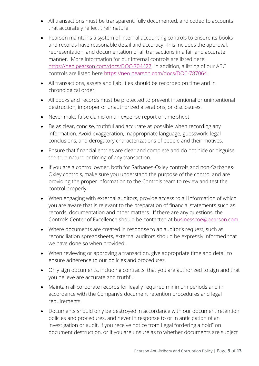- All transactions must be transparent, fully documented, and coded to accounts that accurately reflect their nature.
- Pearson maintains a system of internal accounting controls to ensure its books and records have reasonable detail and accuracy. This includes the approval, representation, and documentation of all transactions in a fair and accurate manner. More information for our internal controls are listed here: [https://neo.pearson.com/docs/DOC-704427.](https://nam02.safelinks.protection.outlook.com/?url=https%3A%2F%2Fneo.pearson.com%2Fdocs%2FDOC-704427&data=04%7C01%7CDanette.Joslyn-Gaul%40pearson.com%7Ca32da43c43e342ddf22c08d999ea402c%7C8cc434d797d047d3b5c514fe0e33e34b%7C0%7C0%7C637710053632973271%7CUnknown%7CTWFpbGZsb3d8eyJWIjoiMC4wLjAwMDAiLCJQIjoiV2luMzIiLCJBTiI6Ik1haWwiLCJXVCI6Mn0%3D%7C1000&sdata=z71yw4gS4aYqr140XSBmhcc1CRUsq3sFMnkxNCT%2B9Kc%3D&reserved=0) In addition, a listing of our ABC controls are listed here [https://neo.pearson.com/docs/DOC-787064](https://nam02.safelinks.protection.outlook.com/?url=https%3A%2F%2Fneo.pearson.com%2Fdocs%2FDOC-787064&data=04%7C01%7CDanette.Joslyn-Gaul%40pearson.com%7Ca32da43c43e342ddf22c08d999ea402c%7C8cc434d797d047d3b5c514fe0e33e34b%7C0%7C0%7C637710053632983230%7CUnknown%7CTWFpbGZsb3d8eyJWIjoiMC4wLjAwMDAiLCJQIjoiV2luMzIiLCJBTiI6Ik1haWwiLCJXVCI6Mn0%3D%7C1000&sdata=R5GtovtHSEJt7YoZlPYCQCVSwP0YY3GipeIkpizRSes%3D&reserved=0)
- All transactions, assets and liabilities should be recorded on time and in chronological order.
- All books and records must be protected to prevent intentional or unintentional destruction, improper or unauthorized alterations, or disclosures.
- Never make false claims on an expense report or time sheet.
- Be as clear, concise, truthful and accurate as possible when recording any information. Avoid exaggeration, inappropriate language, guesswork, legal conclusions, and derogatory characterizations of people and their motives.
- Ensure that financial entries are clear and complete and do not hide or disguise the true nature or timing of any transaction.
- If you are a control owner, both for Sarbanes-Oxley controls and non-Sarbanes-Oxley controls, make sure you understand the purpose of the control and are providing the proper information to the Controls team to review and test the control properly.
- When engaging with external auditors, provide access to all information of which you are aware that is relevant to the preparation of financial statements such as records, documentation and other matters. If there are any questions, the Controls Center of Excellence should be contacted at [businesscoe@pearson.com.](mailto:businesscoe@pearson.com)
- Where documents are created in response to an auditor's request, such as reconciliation spreadsheets, external auditors should be expressly informed that we have done so when provided.
- When reviewing or approving a transaction, give appropriate time and detail to ensure adherence to our policies and procedures.
- Only sign documents, including contracts, that you are authorized to sign and that you believe are accurate and truthful.
- Maintain all corporate records for legally required minimum periods and in accordance with the Company's document retention procedures and legal requirements.
- Documents should only be destroyed in accordance with our document retention policies and procedures, and never in response to or in anticipation of an investigation or audit. If you receive notice from Legal "ordering a hold" on document destruction, or if you are unsure as to whether documents are subject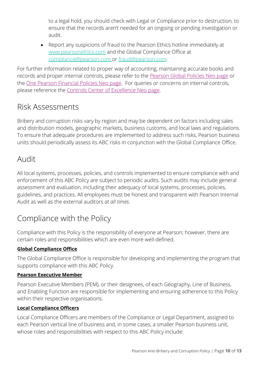to a legal hold, you should check with Legal or Compliance prior to destruction, to ensure that the records aren't needed for an ongoing or pending investigation or audit.

• Report any suspicions of fraud to the Pearson Ethics hotline immediately at www.pearsonethics.com and the Global Compliance Office at compliance@pearson.com or fraud@pearson.com.

For further information related to proper way of accounting, maintaining accurate books and records and proper internal controls, please refer to the [Pearson Global Policies Neo page](https://nam02.safelinks.protection.outlook.com/?url=https%3A%2F%2Fneo.pearson.com%2Fgroups%2Fpearson-global-policies&data=04%7C01%7CCynthia.Merlino%40pearson.com%7C2c2cc309105d4f5deaf808d998b54560%7C8cc434d797d047d3b5c514fe0e33e34b%7C0%7C0%7C637708726587553455%7CUnknown%7CTWFpbGZsb3d8eyJWIjoiMC4wLjAwMDAiLCJQIjoiV2luMzIiLCJBTiI6Ik1haWwiLCJXVCI6Mn0%3D%7C1000&sdata=JvWYYl2SPwbrsUPCeZA3YqGibvzmejG70oLepsbjqYw%3D&reserved=0) or the [One Pearson Financial Policies Neo page.](https://nam02.safelinks.protection.outlook.com/?url=https%3A%2F%2Fneo.pearson.com%2Fgroups%2Fone-pearson-financial-policies%2F&data=04%7C01%7CCynthia.Merlino%40pearson.com%7C2c2cc309105d4f5deaf808d998b54560%7C8cc434d797d047d3b5c514fe0e33e34b%7C0%7C0%7C637708726587553455%7CUnknown%7CTWFpbGZsb3d8eyJWIjoiMC4wLjAwMDAiLCJQIjoiV2luMzIiLCJBTiI6Ik1haWwiLCJXVCI6Mn0%3D%7C1000&sdata=quWEDsWunBWI%2BDr0ev1x6%2BOio%2Bc3KCGmfO73SB%2BM47Y%3D&reserved=0) For queries or concerns on internal controls, please reference the [Controls Center of Excellence Neo page.](https://neo.pearson.com/groups/controls-coe)

# <span id="page-9-0"></span>Risk Assessments

Bribery and corruption risks vary by region and may be dependent on factors including sales and distribution models, geographic markets, business customs, and local laws and regulations. To ensure that adequate procedures are implemented to address such risks, Pearson business units should periodically assess its ABC risks in conjunction with the Global Compliance Office.

# <span id="page-9-1"></span>Audit

All local systems, processes, policies, and controls implemented to ensure compliance with and enforcement of this ABC Policy are subject to periodic audits. Such audits may include general assessment and evaluation, including their adequacy of local systems, processes, policies, guidelines, and practices. All employees must be honest and transparent with Pearson Internal Audit as well as the external auditors *at all times*.

# <span id="page-9-2"></span>Compliance with the Policy

Compliance with this Policy is the responsibility of everyone at Pearson; however, there are certain roles and responsibilities which are even more well-defined.

#### **Global Compliance Office**

The Global Compliance Office is responsible for developing and implementing the program that supports compliance with this ABC Policy.

#### **Pearson Executive Member**

Pearson Executive Members (PEM), or their designees, of each Geography, Line of Business, and Enabling Function are responsible for implementing and ensuring adherence to this Policy within their respective organisations.

#### **Local Compliance Officers**

Local Compliance Officers are members of the Compliance or Legal Department, assigned to each Pearson vertical line of business and, in some cases, a smaller Pearson business unit, whose roles and responsibilities with respect to this ABC Policy include: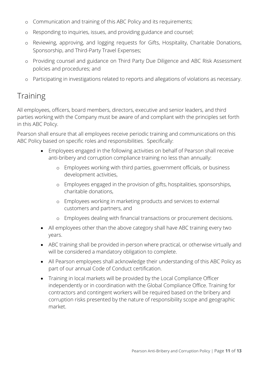- o Communication and training of this ABC Policy and its requirements;
- o Responding to inquiries, issues, and providing guidance and counsel;
- o Reviewing, approving, and logging requests for Gifts, Hospitality, Charitable Donations, Sponsorship, and Third-Party Travel Expenses;
- o Providing counsel and guidance on Third Party Due Diligence and ABC Risk Assessment policies and procedures; and
- o Participating in investigations related to reports and allegations of violations as necessary.

### <span id="page-10-0"></span>**Training**

All employees, officers, board members, directors, executive and senior leaders, and third parties working with the Company must be aware of and compliant with the principles set forth in this ABC Policy.

Pearson shall ensure that all employees receive periodic training and communications on this ABC Policy based on specific roles and responsibilities. Specifically:

- Employees engaged in the following activities on behalf of Pearson shall receive anti-bribery and corruption compliance training no less than annually:
	- o Employees working with third parties, government officials, or business development activities,
	- o Employees engaged in the provision of gifts, hospitalities, sponsorships, charitable donations,
	- o Employees working in marketing products and services to external customers and partners, and
	- o Employees dealing with financial transactions or procurement decisions.
- All employees other than the above category shall have ABC training every two years.
- ABC training shall be provided in-person where practical, or otherwise virtually and will be considered a mandatory obligation to complete.
- All Pearson employees shall acknowledge their understanding of this ABC Policy as part of our annual Code of Conduct certification.
- Training in local markets will be provided by the Local Compliance Officer independently or in coordination with the Global Compliance Office. Training for contractors and contingent workers will be required based on the bribery and corruption risks presented by the nature of responsibility scope and geographic market.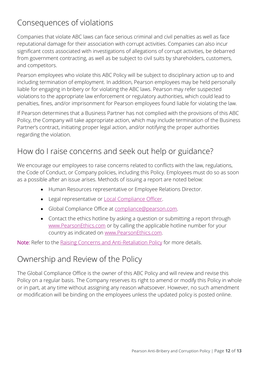# <span id="page-11-0"></span>Consequences of violations

Companies that violate ABC laws can face serious criminal and civil penalties as well as face reputational damage for their association with corrupt activities. Companies can also incur significant costs associated with investigations of allegations of corrupt activities, be debarred from government contracting, as well as be subject to civil suits by shareholders, customers, and competitors.

Pearson employees who violate this ABC Policy will be subject to disciplinary action up to and including termination of employment. In addition, Pearson employees may be held personally liable for engaging in bribery or for violating the ABC laws. Pearson may refer suspected violations to the appropriate law enforcement or regulatory authorities, which could lead to penalties, fines, and/or imprisonment for Pearson employees found liable for violating the law.

If Pearson determines that a Business Partner has not complied with the provisions of this ABC Policy, the Company will take appropriate action, which may include termination of the Business Partner's contract, initiating proper legal action, and/or notifying the proper authorities regarding the violation.

### <span id="page-11-1"></span>How do I raise concerns and seek out help or guidance?

We encourage our employees to raise concerns related to conflicts with the law, regulations, the Code of Conduct, or Company policies, including this Policy. Employees must do so as soon as a possible after an issue arises. Methods of issuing a report are noted below:

- Human Resources representative or Employee Relations Director.
- Legal representative or **Local Compliance Officer**.
- Global Compliance Office at [compliance@pearson.com.](mailto:compliance@pearson.com)
- Contact the ethics hotline by asking a question or submitting a report through [www.PearsonEthics.com](http://www.pearsonethics.com/) or by calling the applicable hotline number for your country as indicated on [www.PearsonEthics.com.](http://www.pearsonethics.com/)

Note: Refer to the [Raising Concerns and Anti-Retaliation Policy](https://neo.pearson.com/docs/DOC-43141) for more details.

# <span id="page-11-2"></span>Ownership and Review of the Policy

<span id="page-11-3"></span>The Global Compliance Office is the owner of this ABC Policy and will review and revise this Policy on a regular basis. The Company reserves its right to amend or modify this Policy in whole or in part, at any time without assigning any reason whatsoever. However, no such amendment or modification will be binding on the employees unless the updated policy is posted online.